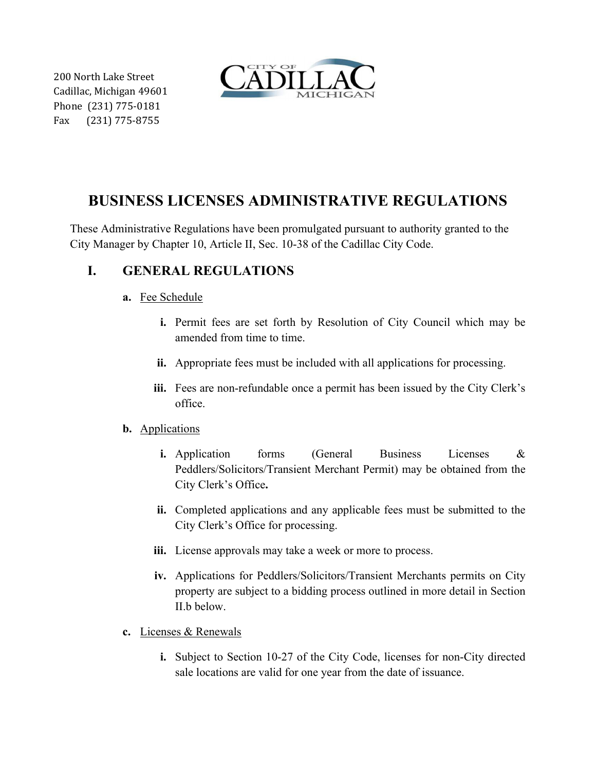200 North Lake Street Cadillac, Michigan 49601 Phone (231) 775-0181 Fax (231) 775-8755



# **BUSINESS LICENSES ADMINISTRATIVE REGULATIONS**

These Administrative Regulations have been promulgated pursuant to authority granted to the City Manager by Chapter 10, Article II, Sec. 10-38 of the Cadillac City Code.

# **I. GENERAL REGULATIONS**

- **a.** Fee Schedule
	- **i.** Permit fees are set forth by Resolution of City Council which may be amended from time to time.
	- **ii.** Appropriate fees must be included with all applications for processing.
	- **iii.** Fees are non-refundable once a permit has been issued by the City Clerk's office.

### **b.** Applications

- **i.** Application forms (General Business Licenses & Peddlers/Solicitors/Transient Merchant Permit) may be obtained from the City Clerk's Office**.**
- **ii.** Completed applications and any applicable fees must be submitted to the City Clerk's Office for processing.
- **iii.** License approvals may take a week or more to process.
- **iv.** Applications for Peddlers/Solicitors/Transient Merchants permits on City property are subject to a bidding process outlined in more detail in Section II.b below.
- **c.** Licenses & Renewals
	- **i.** Subject to Section 10-27 of the City Code, licenses for non-City directed sale locations are valid for one year from the date of issuance.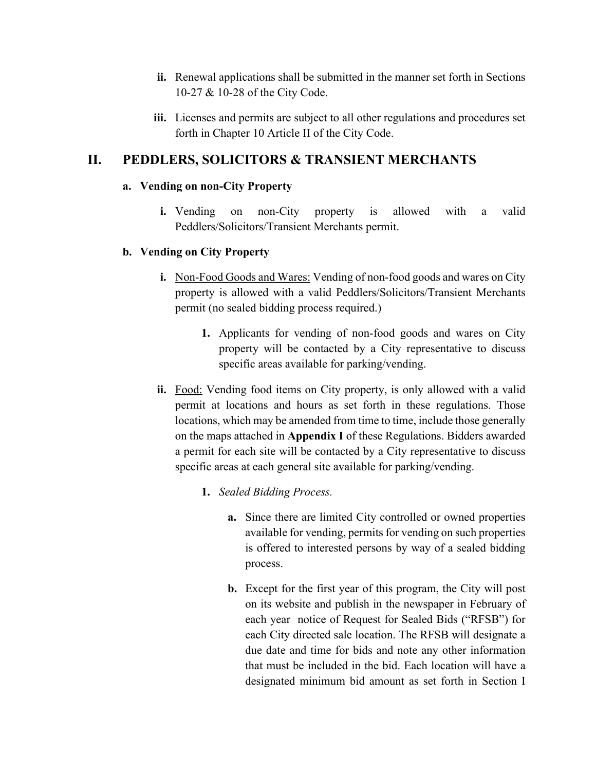- **ii.** Renewal applications shall be submitted in the manner set forth in Sections 10-27 & 10-28 of the City Code.
- **iii.** Licenses and permits are subject to all other regulations and procedures set forth in Chapter 10 Article II of the City Code.

## **II. PEDDLERS, SOLICITORS & TRANSIENT MERCHANTS**

#### **a. Vending on non-City Property**

**i.** Vending on non-City property is allowed with a valid Peddlers/Solicitors/Transient Merchants permit.

### **b. Vending on City Property**

- **i.** Non-Food Goods and Wares: Vending of non-food goods and wares on City property is allowed with a valid Peddlers/Solicitors/Transient Merchants permit (no sealed bidding process required.)
	- **1.** Applicants for vending of non-food goods and wares on City property will be contacted by a City representative to discuss specific areas available for parking/vending.
- **ii.** Food: Vending food items on City property, is only allowed with a valid permit at locations and hours as set forth in these regulations. Those locations, which may be amended from time to time, include those generally on the maps attached in **Appendix I** of these Regulations. Bidders awarded a permit for each site will be contacted by a City representative to discuss specific areas at each general site available for parking/vending.
	- **1.** *Sealed Bidding Process.*
		- **a.** Since there are limited City controlled or owned properties available for vending, permits for vending on such properties is offered to interested persons by way of a sealed bidding process.
		- **b.** Except for the first year of this program, the City will post on its website and publish in the newspaper in February of each year notice of Request for Sealed Bids ("RFSB") for each City directed sale location. The RFSB will designate a due date and time for bids and note any other information that must be included in the bid. Each location will have a designated minimum bid amount as set forth in Section I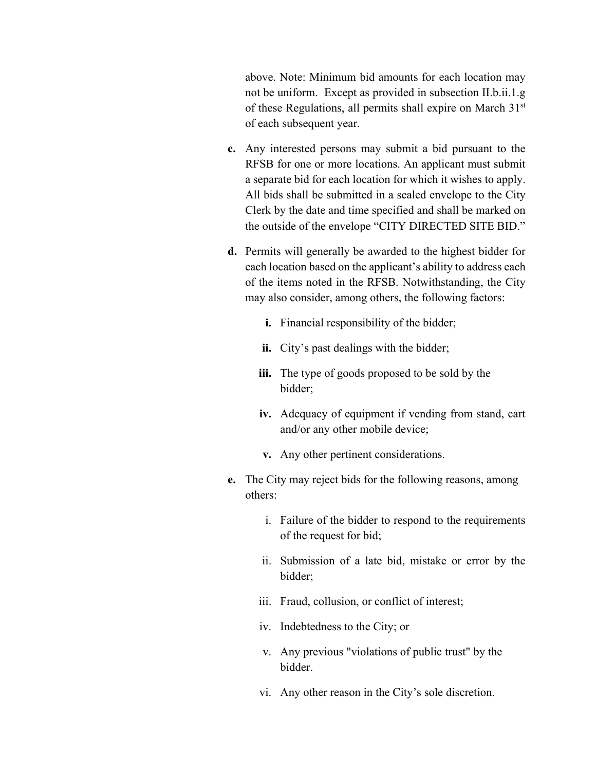above. Note: Minimum bid amounts for each location may not be uniform. Except as provided in subsection II.b.ii.1.g of these Regulations, all permits shall expire on March  $31<sup>st</sup>$ of each subsequent year.

- **c.** Any interested persons may submit a bid pursuant to the RFSB for one or more locations. An applicant must submit a separate bid for each location for which it wishes to apply. All bids shall be submitted in a sealed envelope to the City Clerk by the date and time specified and shall be marked on the outside of the envelope "CITY DIRECTED SITE BID."
- **d.** Permits will generally be awarded to the highest bidder for each location based on the applicant's ability to address each of the items noted in the RFSB. Notwithstanding, the City may also consider, among others, the following factors:
	- **i.** Financial responsibility of the bidder;
	- **ii.** City's past dealings with the bidder;
	- **iii.** The type of goods proposed to be sold by the bidder;
	- **iv.** Adequacy of equipment if vending from stand, cart and/or any other mobile device;
	- **v.** Any other pertinent considerations.
- **e.** The City may reject bids for the following reasons, among others:
	- i. Failure of the bidder to respond to the requirements of the request for bid;
	- ii. Submission of a late bid, mistake or error by the bidder;
	- iii. Fraud, collusion, or conflict of interest;
	- iv. Indebtedness to the City; or
	- v. Any previous "violations of public trust" by the bidder.
	- vi. Any other reason in the City's sole discretion.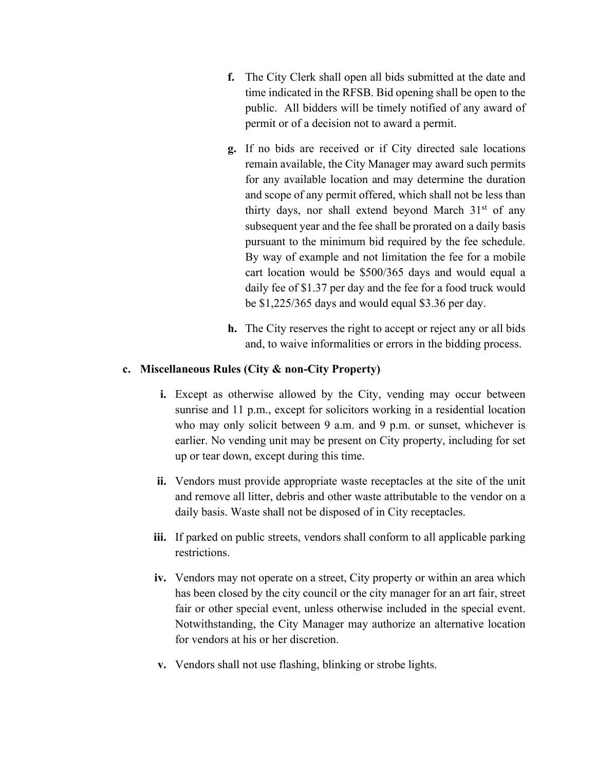- **f.** The City Clerk shall open all bids submitted at the date and time indicated in the RFSB. Bid opening shall be open to the public. All bidders will be timely notified of any award of permit or of a decision not to award a permit.
- **g.** If no bids are received or if City directed sale locations remain available, the City Manager may award such permits for any available location and may determine the duration and scope of any permit offered, which shall not be less than thirty days, nor shall extend beyond March  $31<sup>st</sup>$  of any subsequent year and the fee shall be prorated on a daily basis pursuant to the minimum bid required by the fee schedule. By way of example and not limitation the fee for a mobile cart location would be \$500/365 days and would equal a daily fee of \$1.37 per day and the fee for a food truck would be \$1,225/365 days and would equal \$3.36 per day.
- **h.** The City reserves the right to accept or reject any or all bids and, to waive informalities or errors in the bidding process.

#### **c. Miscellaneous Rules (City & non-City Property)**

- **i.** Except as otherwise allowed by the City, vending may occur between sunrise and 11 p.m., except for solicitors working in a residential location who may only solicit between 9 a.m. and 9 p.m. or sunset, whichever is earlier. No vending unit may be present on City property, including for set up or tear down, except during this time.
- **ii.** Vendors must provide appropriate waste receptacles at the site of the unit and remove all litter, debris and other waste attributable to the vendor on a daily basis. Waste shall not be disposed of in City receptacles.
- **iii.** If parked on public streets, vendors shall conform to all applicable parking restrictions.
- **iv.** Vendors may not operate on a street, City property or within an area which has been closed by the city council or the city manager for an art fair, street fair or other special event, unless otherwise included in the special event. Notwithstanding, the City Manager may authorize an alternative location for vendors at his or her discretion.
- **v.** Vendors shall not use flashing, blinking or strobe lights.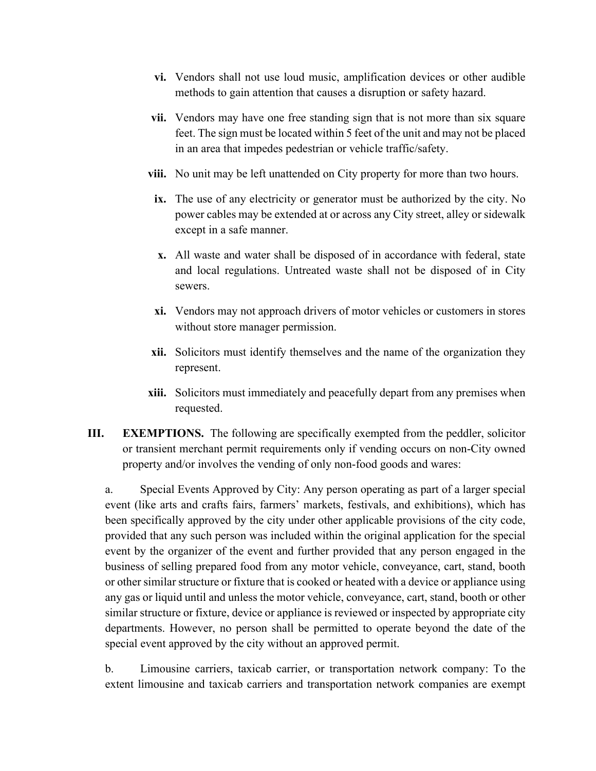- **vi.** Vendors shall not use loud music, amplification devices or other audible methods to gain attention that causes a disruption or safety hazard.
- **vii.** Vendors may have one free standing sign that is not more than six square feet. The sign must be located within 5 feet of the unit and may not be placed in an area that impedes pedestrian or vehicle traffic/safety.
- **viii.** No unit may be left unattended on City property for more than two hours.
	- **ix.** The use of any electricity or generator must be authorized by the city. No power cables may be extended at or across any City street, alley or sidewalk except in a safe manner.
	- **x.** All waste and water shall be disposed of in accordance with federal, state and local regulations. Untreated waste shall not be disposed of in City sewers.
	- **xi.** Vendors may not approach drivers of motor vehicles or customers in stores without store manager permission.
- **xii.** Solicitors must identify themselves and the name of the organization they represent.
- **xiii.** Solicitors must immediately and peacefully depart from any premises when requested.
- **III. EXEMPTIONS.** The following are specifically exempted from the peddler, solicitor or transient merchant permit requirements only if vending occurs on non-City owned property and/or involves the vending of only non-food goods and wares:

a. Special Events Approved by City: Any person operating as part of a larger special event (like arts and crafts fairs, farmers' markets, festivals, and exhibitions), which has been specifically approved by the city under other applicable provisions of the city code, provided that any such person was included within the original application for the special event by the organizer of the event and further provided that any person engaged in the business of selling prepared food from any motor vehicle, conveyance, cart, stand, booth or other similar structure or fixture that is cooked or heated with a device or appliance using any gas or liquid until and unless the motor vehicle, conveyance, cart, stand, booth or other similar structure or fixture, device or appliance is reviewed or inspected by appropriate city departments. However, no person shall be permitted to operate beyond the date of the special event approved by the city without an approved permit.

b. Limousine carriers, taxicab carrier, or transportation network company: To the extent limousine and taxicab carriers and transportation network companies are exempt